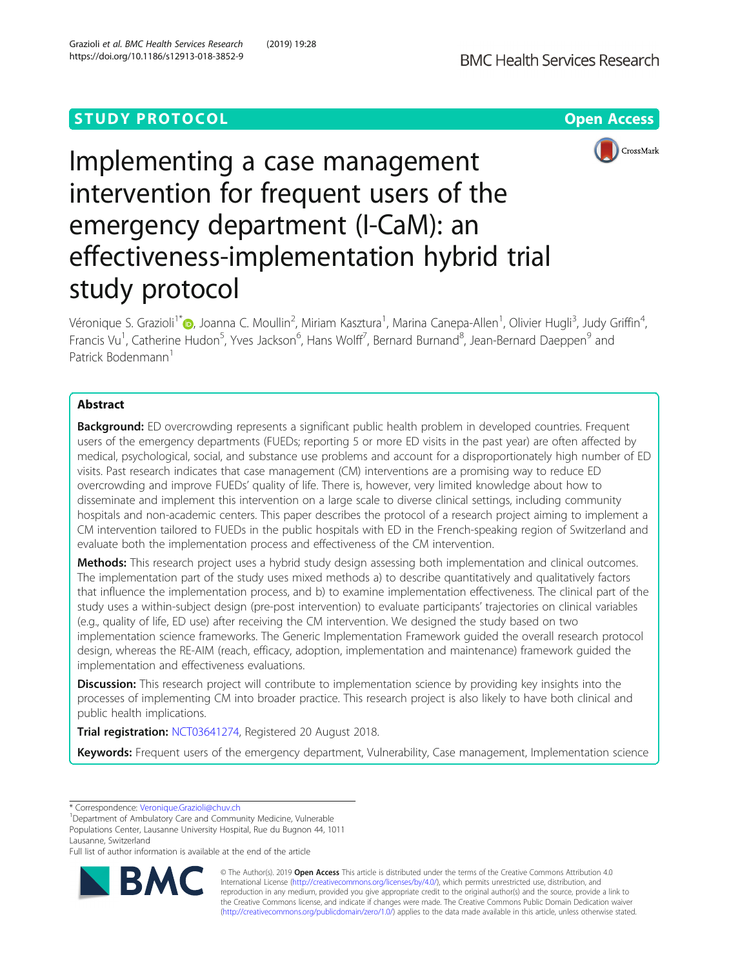# **STUDY PROTOCOL CONSUMING THE CONSUMING OPEN ACCESS**



# Implementing a case management intervention for frequent users of the emergency department (I-CaM): an effectiveness-implementation hybrid trial study protocol

Véronique S. Grazioli<sup>1[\\*](http://orcid.org/0000-0003-1956-7712)</sup>®, Joanna C. Moullin<sup>2</sup>, Miriam Kasztura<sup>1</sup>, Marina Canepa-Allen<sup>1</sup>, Olivier Hugli<sup>3</sup>, Judy Griffin<sup>4</sup> , Francis Vu<sup>1</sup>, Catherine Hudon<sup>5</sup>, Yves Jackson<sup>6</sup>, Hans Wolff<sup>7</sup>, Bernard Burnand<sup>8</sup>, Jean-Bernard Daeppen<sup>9</sup> and Patrick Bodenmann<sup>1</sup>

# Abstract

Background: ED overcrowding represents a significant public health problem in developed countries. Frequent users of the emergency departments (FUEDs; reporting 5 or more ED visits in the past year) are often affected by medical, psychological, social, and substance use problems and account for a disproportionately high number of ED visits. Past research indicates that case management (CM) interventions are a promising way to reduce ED overcrowding and improve FUEDs' quality of life. There is, however, very limited knowledge about how to disseminate and implement this intervention on a large scale to diverse clinical settings, including community hospitals and non-academic centers. This paper describes the protocol of a research project aiming to implement a CM intervention tailored to FUEDs in the public hospitals with ED in the French-speaking region of Switzerland and evaluate both the implementation process and effectiveness of the CM intervention.

Methods: This research project uses a hybrid study design assessing both implementation and clinical outcomes. The implementation part of the study uses mixed methods a) to describe quantitatively and qualitatively factors that influence the implementation process, and b) to examine implementation effectiveness. The clinical part of the study uses a within-subject design (pre-post intervention) to evaluate participants' trajectories on clinical variables (e.g., quality of life, ED use) after receiving the CM intervention. We designed the study based on two implementation science frameworks. The Generic Implementation Framework guided the overall research protocol design, whereas the RE-AIM (reach, efficacy, adoption, implementation and maintenance) framework guided the implementation and effectiveness evaluations.

**Discussion:** This research project will contribute to implementation science by providing key insights into the processes of implementing CM into broader practice. This research project is also likely to have both clinical and public health implications.

Trial registration: [NCT03641274](https://clinicaltrials.gov/ct2/show/NCT03641274), Registered 20 August 2018.

Keywords: Frequent users of the emergency department, Vulnerability, Case management, Implementation science

Lausanne, Switzerland

Full list of author information is available at the end of the article



© The Author(s). 2019 Open Access This article is distributed under the terms of the Creative Commons Attribution 4.0 International License [\(http://creativecommons.org/licenses/by/4.0/](http://creativecommons.org/licenses/by/4.0/)), which permits unrestricted use, distribution, and reproduction in any medium, provided you give appropriate credit to the original author(s) and the source, provide a link to the Creative Commons license, and indicate if changes were made. The Creative Commons Public Domain Dedication waiver [\(http://creativecommons.org/publicdomain/zero/1.0/](http://creativecommons.org/publicdomain/zero/1.0/)) applies to the data made available in this article, unless otherwise stated.

<sup>\*</sup> Correspondence: [Veronique.Grazioli@chuv.ch](mailto:Veronique.Grazioli@chuv.ch) <sup>1</sup>

<sup>&</sup>lt;sup>1</sup>Department of Ambulatory Care and Community Medicine, Vulnerable Populations Center, Lausanne University Hospital, Rue du Bugnon 44, 1011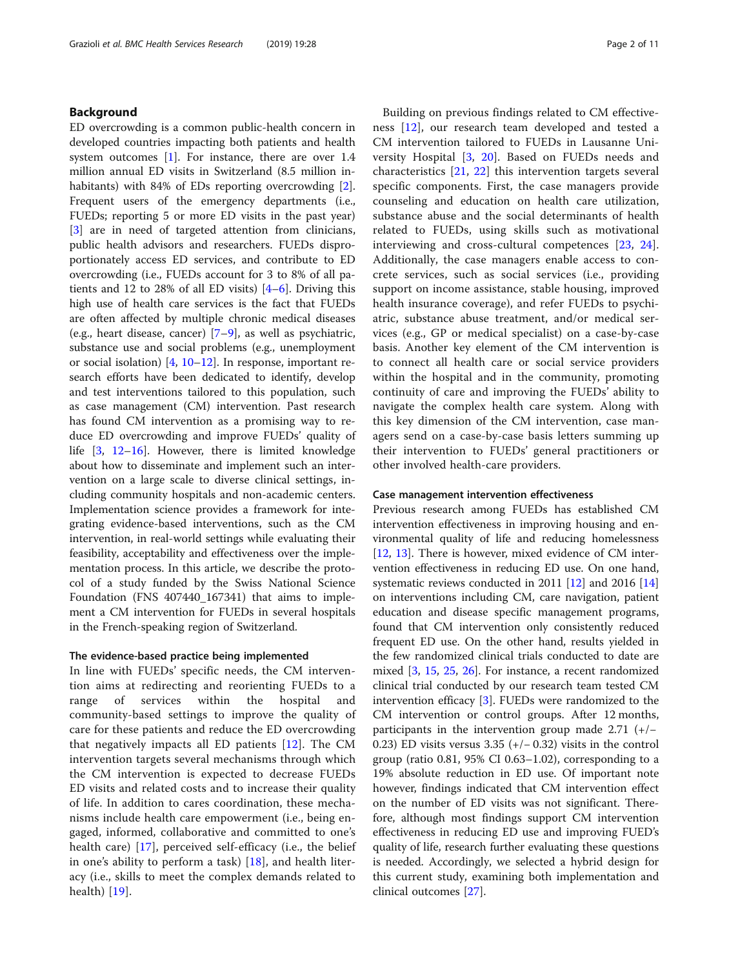# Background

ED overcrowding is a common public-health concern in developed countries impacting both patients and health system outcomes [\[1](#page-9-0)]. For instance, there are over 1.4 million annual ED visits in Switzerland (8.5 million inhabitants) with 84% of EDs reporting overcrowding [\[2](#page-9-0)]. Frequent users of the emergency departments (i.e., FUEDs; reporting 5 or more ED visits in the past year) [[3\]](#page-9-0) are in need of targeted attention from clinicians, public health advisors and researchers. FUEDs disproportionately access ED services, and contribute to ED overcrowding (i.e., FUEDs account for 3 to 8% of all patients and 12 to 28% of all ED visits) [\[4](#page-9-0)–[6\]](#page-9-0). Driving this high use of health care services is the fact that FUEDs are often affected by multiple chronic medical diseases (e.g., heart disease, cancer) [\[7](#page-9-0)–[9](#page-9-0)], as well as psychiatric, substance use and social problems (e.g., unemployment or social isolation) [\[4](#page-9-0), [10](#page-9-0)–[12\]](#page-10-0). In response, important research efforts have been dedicated to identify, develop and test interventions tailored to this population, such as case management (CM) intervention. Past research has found CM intervention as a promising way to reduce ED overcrowding and improve FUEDs' quality of life  $\left[3, 12-16\right]$  $\left[3, 12-16\right]$  $\left[3, 12-16\right]$  $\left[3, 12-16\right]$  $\left[3, 12-16\right]$  $\left[3, 12-16\right]$  $\left[3, 12-16\right]$ . However, there is limited knowledge about how to disseminate and implement such an intervention on a large scale to diverse clinical settings, including community hospitals and non-academic centers. Implementation science provides a framework for integrating evidence-based interventions, such as the CM intervention, in real-world settings while evaluating their feasibility, acceptability and effectiveness over the implementation process. In this article, we describe the protocol of a study funded by the Swiss National Science Foundation (FNS 407440\_167341) that aims to implement a CM intervention for FUEDs in several hospitals in the French-speaking region of Switzerland.

# The evidence-based practice being implemented

In line with FUEDs' specific needs, the CM intervention aims at redirecting and reorienting FUEDs to a range of services within the hospital and community-based settings to improve the quality of care for these patients and reduce the ED overcrowding that negatively impacts all ED patients [[12\]](#page-10-0). The CM intervention targets several mechanisms through which the CM intervention is expected to decrease FUEDs ED visits and related costs and to increase their quality of life. In addition to cares coordination, these mechanisms include health care empowerment (i.e., being engaged, informed, collaborative and committed to one's health care) [[17](#page-10-0)], perceived self-efficacy (i.e., the belief in one's ability to perform a task)  $[18]$  $[18]$ , and health literacy (i.e., skills to meet the complex demands related to health) [[19](#page-10-0)].

Building on previous findings related to CM effectiveness [[12\]](#page-10-0), our research team developed and tested a CM intervention tailored to FUEDs in Lausanne University Hospital [[3,](#page-9-0) [20](#page-10-0)]. Based on FUEDs needs and characteristics [\[21](#page-10-0), [22](#page-10-0)] this intervention targets several specific components. First, the case managers provide counseling and education on health care utilization, substance abuse and the social determinants of health related to FUEDs, using skills such as motivational interviewing and cross-cultural competences [[23,](#page-10-0) [24](#page-10-0)]. Additionally, the case managers enable access to concrete services, such as social services (i.e., providing support on income assistance, stable housing, improved health insurance coverage), and refer FUEDs to psychiatric, substance abuse treatment, and/or medical services (e.g., GP or medical specialist) on a case-by-case basis. Another key element of the CM intervention is to connect all health care or social service providers within the hospital and in the community, promoting continuity of care and improving the FUEDs' ability to navigate the complex health care system. Along with this key dimension of the CM intervention, case managers send on a case-by-case basis letters summing up their intervention to FUEDs' general practitioners or other involved health-care providers.

#### Case management intervention effectiveness

Previous research among FUEDs has established CM intervention effectiveness in improving housing and environmental quality of life and reducing homelessness [[12,](#page-10-0) [13](#page-10-0)]. There is however, mixed evidence of CM intervention effectiveness in reducing ED use. On one hand, systematic reviews conducted in 2011 [[12\]](#page-10-0) and 2016 [[14](#page-10-0)] on interventions including CM, care navigation, patient education and disease specific management programs, found that CM intervention only consistently reduced frequent ED use. On the other hand, results yielded in the few randomized clinical trials conducted to date are mixed [[3](#page-9-0), [15,](#page-10-0) [25](#page-10-0), [26\]](#page-10-0). For instance, a recent randomized clinical trial conducted by our research team tested CM intervention efficacy [[3\]](#page-9-0). FUEDs were randomized to the CM intervention or control groups. After 12 months, participants in the intervention group made 2.71 (+/− 0.23) ED visits versus 3.35 (+/− 0.32) visits in the control group (ratio 0.81, 95% CI 0.63–1.02), corresponding to a 19% absolute reduction in ED use. Of important note however, findings indicated that CM intervention effect on the number of ED visits was not significant. Therefore, although most findings support CM intervention effectiveness in reducing ED use and improving FUED's quality of life, research further evaluating these questions is needed. Accordingly, we selected a hybrid design for this current study, examining both implementation and clinical outcomes [\[27\]](#page-10-0).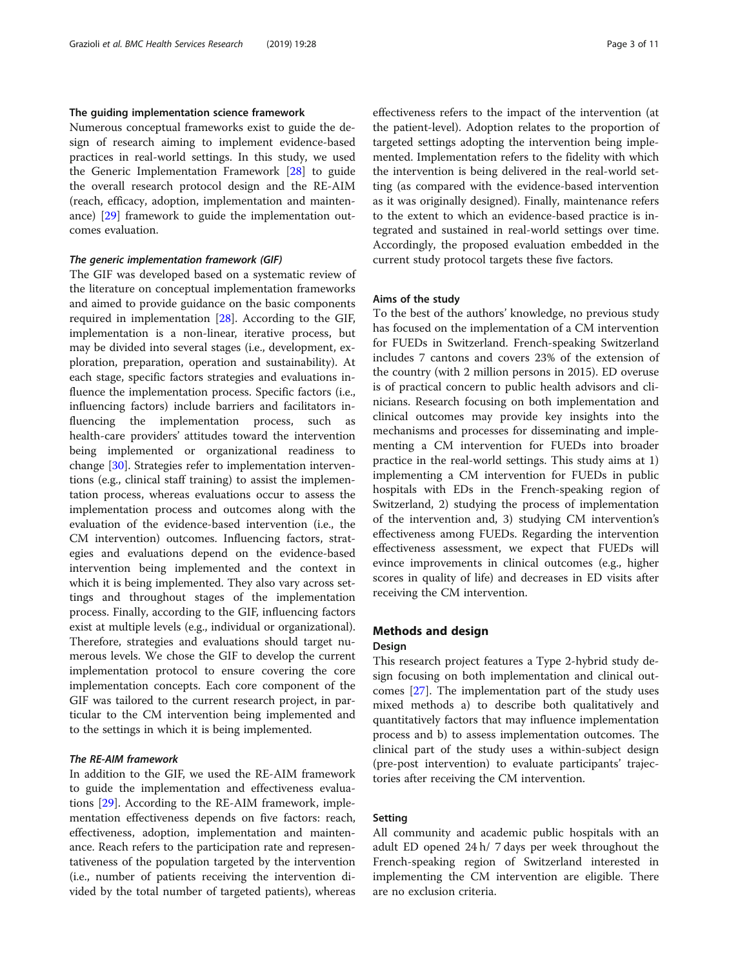#### The guiding implementation science framework

Numerous conceptual frameworks exist to guide the design of research aiming to implement evidence-based practices in real-world settings. In this study, we used the Generic Implementation Framework [[28\]](#page-10-0) to guide the overall research protocol design and the RE-AIM (reach, efficacy, adoption, implementation and maintenance) [\[29](#page-10-0)] framework to guide the implementation outcomes evaluation.

#### The generic implementation framework (GIF)

The GIF was developed based on a systematic review of the literature on conceptual implementation frameworks and aimed to provide guidance on the basic components required in implementation [\[28\]](#page-10-0). According to the GIF, implementation is a non-linear, iterative process, but may be divided into several stages (i.e., development, exploration, preparation, operation and sustainability). At each stage, specific factors strategies and evaluations influence the implementation process. Specific factors (i.e., influencing factors) include barriers and facilitators influencing the implementation process, such as health-care providers' attitudes toward the intervention being implemented or organizational readiness to change [[30](#page-10-0)]. Strategies refer to implementation interventions (e.g., clinical staff training) to assist the implementation process, whereas evaluations occur to assess the implementation process and outcomes along with the evaluation of the evidence-based intervention (i.e., the CM intervention) outcomes. Influencing factors, strategies and evaluations depend on the evidence-based intervention being implemented and the context in which it is being implemented. They also vary across settings and throughout stages of the implementation process. Finally, according to the GIF, influencing factors exist at multiple levels (e.g., individual or organizational). Therefore, strategies and evaluations should target numerous levels. We chose the GIF to develop the current implementation protocol to ensure covering the core implementation concepts. Each core component of the GIF was tailored to the current research project, in particular to the CM intervention being implemented and to the settings in which it is being implemented.

# The RE-AIM framework

In addition to the GIF, we used the RE-AIM framework to guide the implementation and effectiveness evaluations [\[29](#page-10-0)]. According to the RE-AIM framework, implementation effectiveness depends on five factors: reach, effectiveness, adoption, implementation and maintenance. Reach refers to the participation rate and representativeness of the population targeted by the intervention (i.e., number of patients receiving the intervention divided by the total number of targeted patients), whereas

effectiveness refers to the impact of the intervention (at the patient-level). Adoption relates to the proportion of targeted settings adopting the intervention being implemented. Implementation refers to the fidelity with which the intervention is being delivered in the real-world setting (as compared with the evidence-based intervention as it was originally designed). Finally, maintenance refers to the extent to which an evidence-based practice is integrated and sustained in real-world settings over time. Accordingly, the proposed evaluation embedded in the current study protocol targets these five factors.

#### Aims of the study

To the best of the authors' knowledge, no previous study has focused on the implementation of a CM intervention for FUEDs in Switzerland. French-speaking Switzerland includes 7 cantons and covers 23% of the extension of the country (with 2 million persons in 2015). ED overuse is of practical concern to public health advisors and clinicians. Research focusing on both implementation and clinical outcomes may provide key insights into the mechanisms and processes for disseminating and implementing a CM intervention for FUEDs into broader practice in the real-world settings. This study aims at 1) implementing a CM intervention for FUEDs in public hospitals with EDs in the French-speaking region of Switzerland, 2) studying the process of implementation of the intervention and, 3) studying CM intervention's effectiveness among FUEDs. Regarding the intervention effectiveness assessment, we expect that FUEDs will evince improvements in clinical outcomes (e.g., higher scores in quality of life) and decreases in ED visits after receiving the CM intervention.

# Methods and design Design

This research project features a Type 2-hybrid study design focusing on both implementation and clinical outcomes [[27\]](#page-10-0). The implementation part of the study uses mixed methods a) to describe both qualitatively and quantitatively factors that may influence implementation process and b) to assess implementation outcomes. The clinical part of the study uses a within-subject design (pre-post intervention) to evaluate participants' trajectories after receiving the CM intervention.

# Setting

All community and academic public hospitals with an adult ED opened 24 h/ 7 days per week throughout the French-speaking region of Switzerland interested in implementing the CM intervention are eligible. There are no exclusion criteria.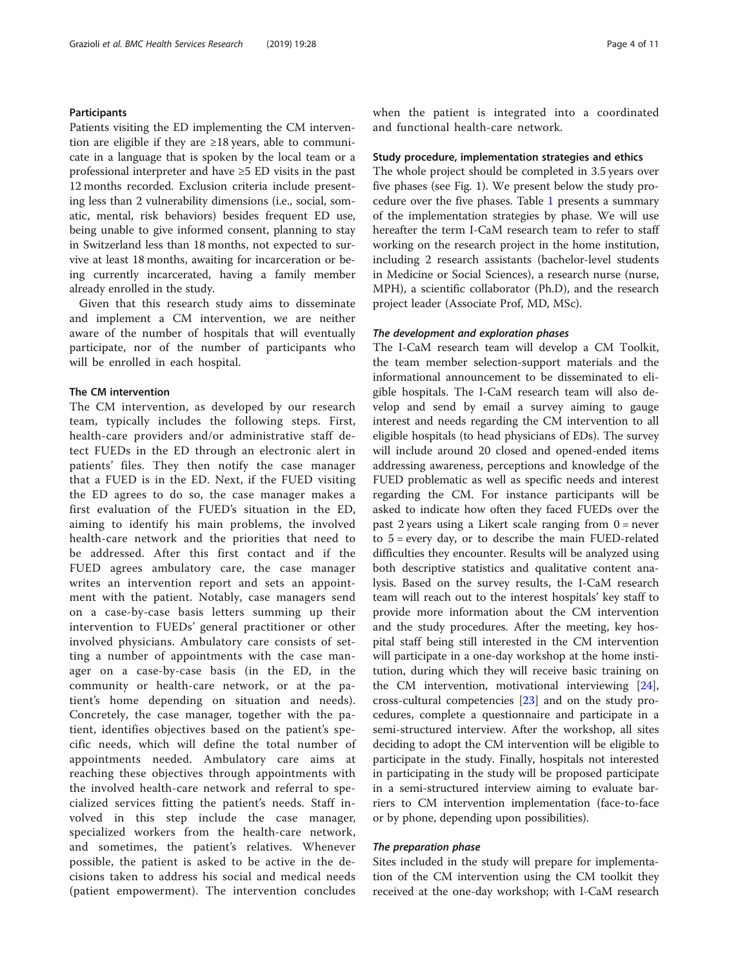## **Participants**

Patients visiting the ED implementing the CM intervention are eligible if they are  $\geq$ 18 years, able to communicate in a language that is spoken by the local team or a professional interpreter and have ≥5 ED visits in the past 12 months recorded. Exclusion criteria include presenting less than 2 vulnerability dimensions (i.e., social, somatic, mental, risk behaviors) besides frequent ED use, being unable to give informed consent, planning to stay in Switzerland less than 18 months, not expected to survive at least 18 months, awaiting for incarceration or being currently incarcerated, having a family member already enrolled in the study.

Given that this research study aims to disseminate and implement a CM intervention, we are neither aware of the number of hospitals that will eventually participate, nor of the number of participants who will be enrolled in each hospital.

#### The CM intervention

The CM intervention, as developed by our research team, typically includes the following steps. First, health-care providers and/or administrative staff detect FUEDs in the ED through an electronic alert in patients' files. They then notify the case manager that a FUED is in the ED. Next, if the FUED visiting the ED agrees to do so, the case manager makes a first evaluation of the FUED's situation in the ED, aiming to identify his main problems, the involved health-care network and the priorities that need to be addressed. After this first contact and if the FUED agrees ambulatory care, the case manager writes an intervention report and sets an appointment with the patient. Notably, case managers send on a case-by-case basis letters summing up their intervention to FUEDs' general practitioner or other involved physicians. Ambulatory care consists of setting a number of appointments with the case manager on a case-by-case basis (in the ED, in the community or health-care network, or at the patient's home depending on situation and needs). Concretely, the case manager, together with the patient, identifies objectives based on the patient's specific needs, which will define the total number of appointments needed. Ambulatory care aims at reaching these objectives through appointments with the involved health-care network and referral to specialized services fitting the patient's needs. Staff involved in this step include the case manager, specialized workers from the health-care network, and sometimes, the patient's relatives. Whenever possible, the patient is asked to be active in the decisions taken to address his social and medical needs (patient empowerment). The intervention concludes when the patient is integrated into a coordinated and functional health-care network.

#### Study procedure, implementation strategies and ethics

The whole project should be completed in 3.5 years over five phases (see Fig. 1). We present below the study procedure over the five phases. Table [1](#page-4-0) presents a summary of the implementation strategies by phase. We will use hereafter the term I-CaM research team to refer to staff working on the research project in the home institution, including 2 research assistants (bachelor-level students in Medicine or Social Sciences), a research nurse (nurse, MPH), a scientific collaborator (Ph.D), and the research project leader (Associate Prof, MD, MSc).

## The development and exploration phases

The I-CaM research team will develop a CM Toolkit, the team member selection-support materials and the informational announcement to be disseminated to eligible hospitals. The I-CaM research team will also develop and send by email a survey aiming to gauge interest and needs regarding the CM intervention to all eligible hospitals (to head physicians of EDs). The survey will include around 20 closed and opened-ended items addressing awareness, perceptions and knowledge of the FUED problematic as well as specific needs and interest regarding the CM. For instance participants will be asked to indicate how often they faced FUEDs over the past 2 years using a Likert scale ranging from  $0 =$  never to 5 = every day, or to describe the main FUED-related difficulties they encounter. Results will be analyzed using both descriptive statistics and qualitative content analysis. Based on the survey results, the I-CaM research team will reach out to the interest hospitals' key staff to provide more information about the CM intervention and the study procedures. After the meeting, key hospital staff being still interested in the CM intervention will participate in a one-day workshop at the home institution, during which they will receive basic training on the CM intervention, motivational interviewing [\[24](#page-10-0)], cross-cultural competencies [\[23](#page-10-0)] and on the study procedures, complete a questionnaire and participate in a semi-structured interview. After the workshop, all sites deciding to adopt the CM intervention will be eligible to participate in the study. Finally, hospitals not interested in participating in the study will be proposed participate in a semi-structured interview aiming to evaluate barriers to CM intervention implementation (face-to-face or by phone, depending upon possibilities).

# The preparation phase

Sites included in the study will prepare for implementation of the CM intervention using the CM toolkit they received at the one-day workshop; with I-CaM research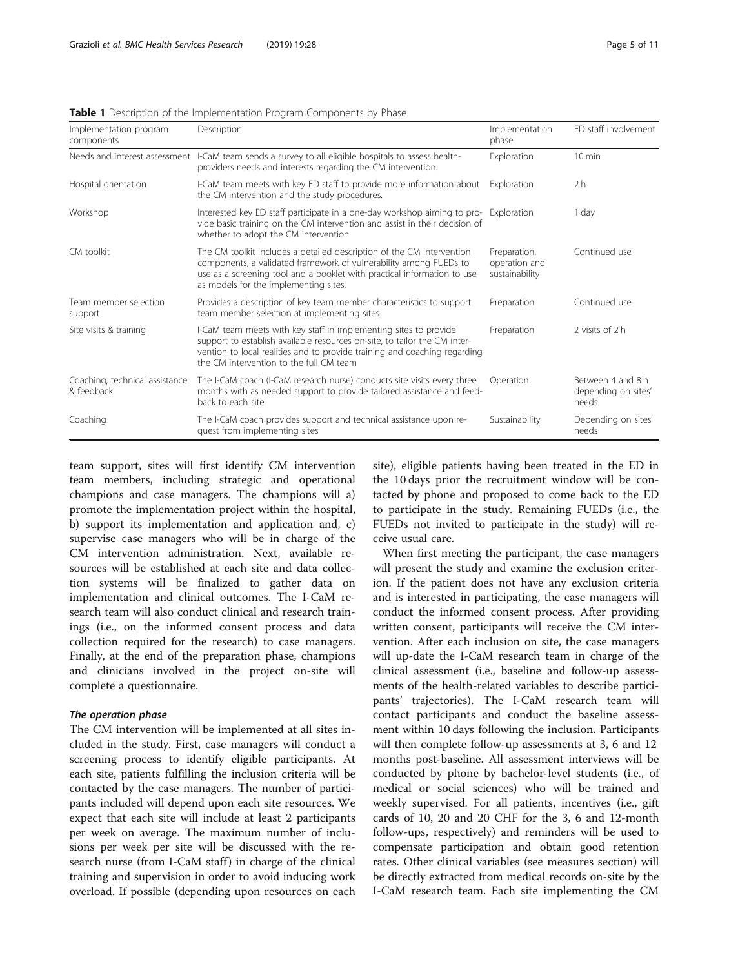| Implementation program<br>components         | Description                                                                                                                                                                                                                                                           | Implementation<br>phase                         | FD staff involvement                              |
|----------------------------------------------|-----------------------------------------------------------------------------------------------------------------------------------------------------------------------------------------------------------------------------------------------------------------------|-------------------------------------------------|---------------------------------------------------|
|                                              | Needs and interest assessment I-CaM team sends a survey to all eligible hospitals to assess health-<br>providers needs and interests regarding the CM intervention.                                                                                                   | Exploration                                     | $10 \,\mathrm{min}$                               |
| Hospital orientation                         | I-CaM team meets with key ED staff to provide more information about<br>the CM intervention and the study procedures.                                                                                                                                                 | Exploration                                     | 2 <sub>h</sub>                                    |
| Workshop                                     | Interested key ED staff participate in a one-day workshop aiming to pro-<br>vide basic training on the CM intervention and assist in their decision of<br>whether to adopt the CM intervention                                                                        | Exploration                                     | 1 day                                             |
| CM toolkit                                   | The CM toolkit includes a detailed description of the CM intervention<br>components, a validated framework of vulnerability among FUEDs to<br>use as a screening tool and a booklet with practical information to use<br>as models for the implementing sites.        | Preparation,<br>operation and<br>sustainability | Continued use                                     |
| Team member selection<br>support             | Provides a description of key team member characteristics to support<br>team member selection at implementing sites                                                                                                                                                   | Preparation                                     | Continued use                                     |
| Site visits & training                       | I-CaM team meets with key staff in implementing sites to provide<br>support to establish available resources on-site, to tailor the CM inter-<br>vention to local realities and to provide training and coaching regarding<br>the CM intervention to the full CM team | Preparation                                     | 2 visits of 2 h                                   |
| Coaching, technical assistance<br>& feedback | The I-CaM coach (I-CaM research nurse) conducts site visits every three<br>months with as needed support to provide tailored assistance and feed-<br>back to each site                                                                                                | Operation                                       | Between 4 and 8 h<br>depending on sites'<br>needs |
| Coaching                                     | The I-CaM coach provides support and technical assistance upon re-<br>quest from implementing sites                                                                                                                                                                   | Sustainability                                  | Depending on sites'<br>needs                      |

<span id="page-4-0"></span>Table 1 Description of the Implementation Program Components by Phase

team support, sites will first identify CM intervention team members, including strategic and operational champions and case managers. The champions will a) promote the implementation project within the hospital, b) support its implementation and application and, c) supervise case managers who will be in charge of the CM intervention administration. Next, available resources will be established at each site and data collection systems will be finalized to gather data on implementation and clinical outcomes. The I-CaM research team will also conduct clinical and research trainings (i.e., on the informed consent process and data collection required for the research) to case managers. Finally, at the end of the preparation phase, champions and clinicians involved in the project on-site will complete a questionnaire.

#### The operation phase

The CM intervention will be implemented at all sites included in the study. First, case managers will conduct a screening process to identify eligible participants. At each site, patients fulfilling the inclusion criteria will be contacted by the case managers. The number of participants included will depend upon each site resources. We expect that each site will include at least 2 participants per week on average. The maximum number of inclusions per week per site will be discussed with the research nurse (from I-CaM staff) in charge of the clinical training and supervision in order to avoid inducing work overload. If possible (depending upon resources on each site), eligible patients having been treated in the ED in the 10 days prior the recruitment window will be contacted by phone and proposed to come back to the ED to participate in the study. Remaining FUEDs (i.e., the FUEDs not invited to participate in the study) will receive usual care.

When first meeting the participant, the case managers will present the study and examine the exclusion criterion. If the patient does not have any exclusion criteria and is interested in participating, the case managers will conduct the informed consent process. After providing written consent, participants will receive the CM intervention. After each inclusion on site, the case managers will up-date the I-CaM research team in charge of the clinical assessment (i.e., baseline and follow-up assessments of the health-related variables to describe participants' trajectories). The I-CaM research team will contact participants and conduct the baseline assessment within 10 days following the inclusion. Participants will then complete follow-up assessments at 3, 6 and 12 months post-baseline. All assessment interviews will be conducted by phone by bachelor-level students (i.e., of medical or social sciences) who will be trained and weekly supervised. For all patients, incentives (i.e., gift cards of 10, 20 and 20 CHF for the 3, 6 and 12-month follow-ups, respectively) and reminders will be used to compensate participation and obtain good retention rates. Other clinical variables (see measures section) will be directly extracted from medical records on-site by the I-CaM research team. Each site implementing the CM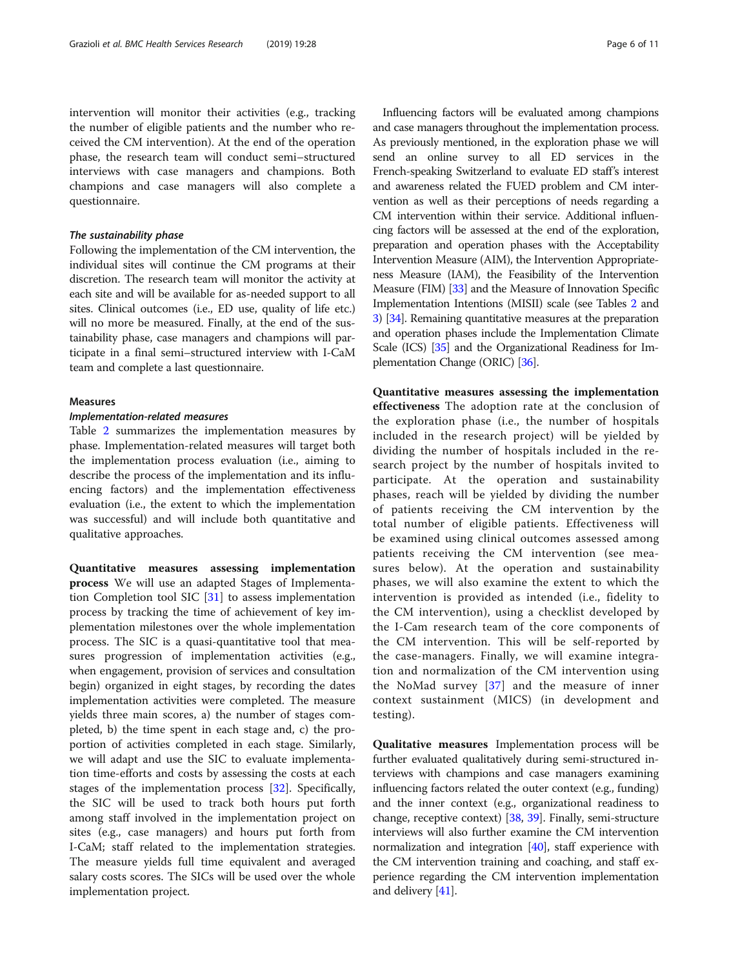intervention will monitor their activities (e.g., tracking the number of eligible patients and the number who received the CM intervention). At the end of the operation phase, the research team will conduct semi–structured interviews with case managers and champions. Both champions and case managers will also complete a questionnaire.

#### The sustainability phase

Following the implementation of the CM intervention, the individual sites will continue the CM programs at their discretion. The research team will monitor the activity at each site and will be available for as-needed support to all sites. Clinical outcomes (i.e., ED use, quality of life etc.) will no more be measured. Finally, at the end of the sustainability phase, case managers and champions will participate in a final semi–structured interview with I-CaM team and complete a last questionnaire.

## Measures

#### Implementation-related measures

Table [2](#page-6-0) summarizes the implementation measures by phase. Implementation-related measures will target both the implementation process evaluation (i.e., aiming to describe the process of the implementation and its influencing factors) and the implementation effectiveness evaluation (i.e., the extent to which the implementation was successful) and will include both quantitative and qualitative approaches.

Quantitative measures assessing implementation process We will use an adapted Stages of Implementation Completion tool SIC [[31\]](#page-10-0) to assess implementation process by tracking the time of achievement of key implementation milestones over the whole implementation process. The SIC is a quasi-quantitative tool that measures progression of implementation activities (e.g., when engagement, provision of services and consultation begin) organized in eight stages, by recording the dates implementation activities were completed. The measure yields three main scores, a) the number of stages completed, b) the time spent in each stage and, c) the proportion of activities completed in each stage. Similarly, we will adapt and use the SIC to evaluate implementation time-efforts and costs by assessing the costs at each stages of the implementation process [\[32](#page-10-0)]. Specifically, the SIC will be used to track both hours put forth among staff involved in the implementation project on sites (e.g., case managers) and hours put forth from I-CaM; staff related to the implementation strategies. The measure yields full time equivalent and averaged salary costs scores. The SICs will be used over the whole implementation project.

Influencing factors will be evaluated among champions and case managers throughout the implementation process. As previously mentioned, in the exploration phase we will send an online survey to all ED services in the French-speaking Switzerland to evaluate ED staff's interest and awareness related the FUED problem and CM intervention as well as their perceptions of needs regarding a CM intervention within their service. Additional influencing factors will be assessed at the end of the exploration, preparation and operation phases with the Acceptability Intervention Measure (AIM), the Intervention Appropriateness Measure (IAM), the Feasibility of the Intervention Measure (FIM) [[33](#page-10-0)] and the Measure of Innovation Specific Implementation Intentions (MISII) scale (see Tables [2](#page-6-0) and [3](#page-7-0)) [\[34\]](#page-10-0). Remaining quantitative measures at the preparation and operation phases include the Implementation Climate Scale (ICS) [\[35\]](#page-10-0) and the Organizational Readiness for Implementation Change (ORIC) [\[36](#page-10-0)].

Quantitative measures assessing the implementation effectiveness The adoption rate at the conclusion of the exploration phase (i.e., the number of hospitals included in the research project) will be yielded by dividing the number of hospitals included in the research project by the number of hospitals invited to participate. At the operation and sustainability phases, reach will be yielded by dividing the number of patients receiving the CM intervention by the total number of eligible patients. Effectiveness will be examined using clinical outcomes assessed among patients receiving the CM intervention (see measures below). At the operation and sustainability phases, we will also examine the extent to which the intervention is provided as intended (i.e., fidelity to the CM intervention), using a checklist developed by the I-Cam research team of the core components of the CM intervention. This will be self-reported by the case-managers. Finally, we will examine integration and normalization of the CM intervention using the NoMad survey [[37\]](#page-10-0) and the measure of inner context sustainment (MICS) (in development and testing).

Qualitative measures Implementation process will be further evaluated qualitatively during semi-structured interviews with champions and case managers examining influencing factors related the outer context (e.g., funding) and the inner context (e.g., organizational readiness to change, receptive context) [\[38,](#page-10-0) [39\]](#page-10-0). Finally, semi-structure interviews will also further examine the CM intervention normalization and integration [\[40\]](#page-10-0), staff experience with the CM intervention training and coaching, and staff experience regarding the CM intervention implementation and delivery [[41](#page-10-0)].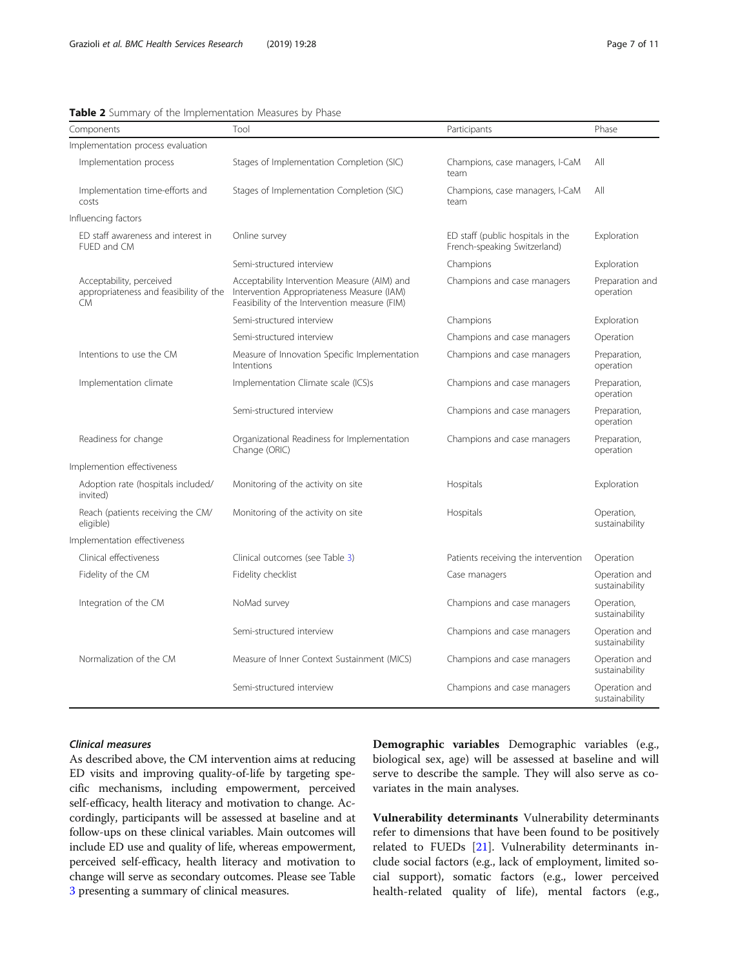<span id="page-6-0"></span>

| <b>Table 2</b> Summary of the Implementation Measures by Phase |  |  |  |  |
|----------------------------------------------------------------|--|--|--|--|
|----------------------------------------------------------------|--|--|--|--|

| Components                                                                      | Tool                                                                                                                                        | Participants                                                      | Phase                           |
|---------------------------------------------------------------------------------|---------------------------------------------------------------------------------------------------------------------------------------------|-------------------------------------------------------------------|---------------------------------|
| Implementation process evaluation                                               |                                                                                                                                             |                                                                   |                                 |
| Implementation process                                                          | Stages of Implementation Completion (SIC)                                                                                                   | Champions, case managers, I-CaM<br>team                           | All                             |
| Implementation time-efforts and<br>costs                                        | Stages of Implementation Completion (SIC)                                                                                                   | Champions, case managers, I-CaM<br>team                           | All                             |
| Influencing factors                                                             |                                                                                                                                             |                                                                   |                                 |
| ED staff awareness and interest in<br>FUED and CM                               | Online survey                                                                                                                               | ED staff (public hospitals in the<br>French-speaking Switzerland) | Exploration                     |
|                                                                                 | Semi-structured interview                                                                                                                   | Champions                                                         | Exploration                     |
| Acceptability, perceived<br>appropriateness and feasibility of the<br><b>CM</b> | Acceptability Intervention Measure (AIM) and<br>Intervention Appropriateness Measure (IAM)<br>Feasibility of the Intervention measure (FIM) | Champions and case managers                                       | Preparation and<br>operation    |
|                                                                                 | Semi-structured interview                                                                                                                   | Champions                                                         | Exploration                     |
|                                                                                 | Semi-structured interview                                                                                                                   | Champions and case managers                                       | Operation                       |
| Intentions to use the CM                                                        | Measure of Innovation Specific Implementation<br>Intentions                                                                                 | Champions and case managers                                       | Preparation,<br>operation       |
| Implementation climate                                                          | Implementation Climate scale (ICS)s                                                                                                         | Champions and case managers                                       | Preparation,<br>operation       |
|                                                                                 | Semi-structured interview                                                                                                                   | Champions and case managers                                       | Preparation,<br>operation       |
| Readiness for change                                                            | Organizational Readiness for Implementation<br>Change (ORIC)                                                                                | Champions and case managers                                       | Preparation,<br>operation       |
| Implemention effectiveness                                                      |                                                                                                                                             |                                                                   |                                 |
| Adoption rate (hospitals included/<br>invited)                                  | Monitoring of the activity on site                                                                                                          | Hospitals                                                         | Exploration                     |
| Reach (patients receiving the CM/<br>eligible)                                  | Monitoring of the activity on site                                                                                                          | Hospitals                                                         | Operation,<br>sustainability    |
| Implementation effectiveness                                                    |                                                                                                                                             |                                                                   |                                 |
| Clinical effectiveness                                                          | Clinical outcomes (see Table 3)                                                                                                             | Patients receiving the intervention                               | Operation                       |
| Fidelity of the CM                                                              | Fidelity checklist                                                                                                                          | Case managers                                                     | Operation and<br>sustainability |
| Integration of the CM                                                           | NoMad survey                                                                                                                                | Champions and case managers                                       | Operation,<br>sustainability    |
|                                                                                 | Semi-structured interview                                                                                                                   | Champions and case managers                                       | Operation and<br>sustainability |
| Normalization of the CM                                                         | Measure of Inner Context Sustainment (MICS)                                                                                                 | Champions and case managers                                       | Operation and<br>sustainability |
|                                                                                 | Semi-structured interview                                                                                                                   | Champions and case managers                                       | Operation and<br>sustainability |

#### Clinical measures

As described above, the CM intervention aims at reducing ED visits and improving quality-of-life by targeting specific mechanisms, including empowerment, perceived self-efficacy, health literacy and motivation to change. Accordingly, participants will be assessed at baseline and at follow-ups on these clinical variables. Main outcomes will include ED use and quality of life, whereas empowerment, perceived self-efficacy, health literacy and motivation to change will serve as secondary outcomes. Please see Table [3](#page-7-0) presenting a summary of clinical measures.

Demographic variables Demographic variables (e.g., biological sex, age) will be assessed at baseline and will serve to describe the sample. They will also serve as covariates in the main analyses.

Vulnerability determinants Vulnerability determinants refer to dimensions that have been found to be positively related to FUEDs [[21\]](#page-10-0). Vulnerability determinants include social factors (e.g., lack of employment, limited social support), somatic factors (e.g., lower perceived health-related quality of life), mental factors (e.g.,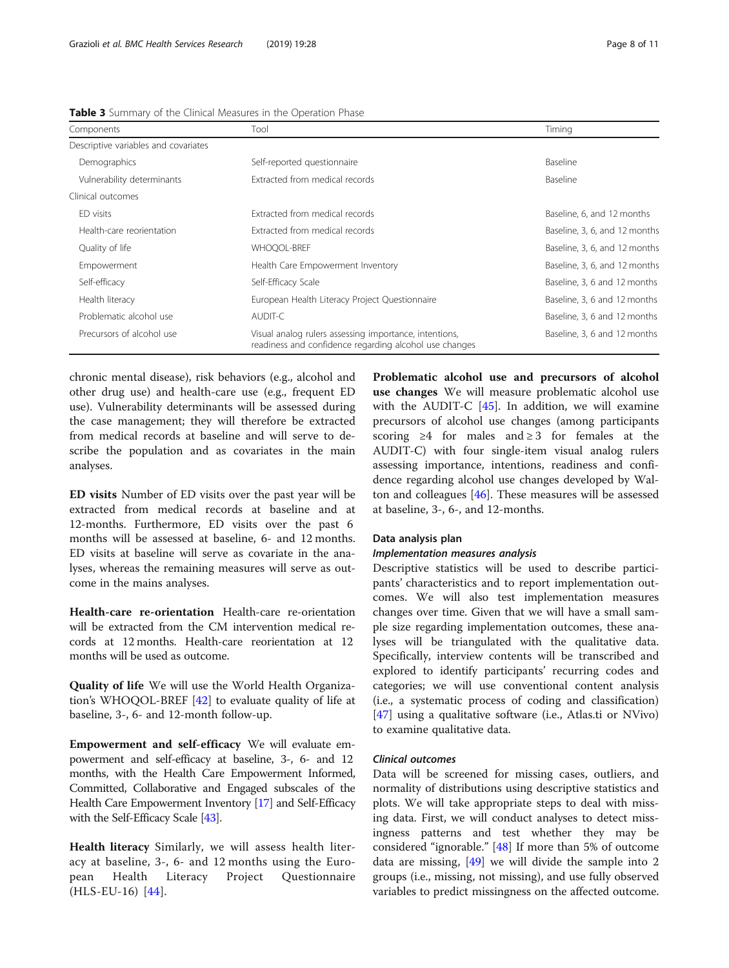| Components                           | Tool                                                                                                             | Timing                        |  |
|--------------------------------------|------------------------------------------------------------------------------------------------------------------|-------------------------------|--|
| Descriptive variables and covariates |                                                                                                                  |                               |  |
| Demographics                         | Self-reported questionnaire                                                                                      | Baseline                      |  |
| Vulnerability determinants           | Extracted from medical records                                                                                   | Baseline                      |  |
| Clinical outcomes                    |                                                                                                                  |                               |  |
| FD visits                            | Extracted from medical records                                                                                   | Baseline, 6, and 12 months    |  |
| Health-care reorientation            | Extracted from medical records                                                                                   | Baseline, 3, 6, and 12 months |  |
| Quality of life                      | WHOQOL-BREF                                                                                                      | Baseline, 3, 6, and 12 months |  |
| Empowerment                          | Health Care Empowerment Inventory                                                                                | Baseline, 3, 6, and 12 months |  |
| Self-efficacy                        | Self-Efficacy Scale                                                                                              | Baseline, 3, 6 and 12 months  |  |
| Health literacy                      | European Health Literacy Project Questionnaire                                                                   | Baseline, 3, 6 and 12 months  |  |
| Problematic alcohol use              | AUDIT-C                                                                                                          | Baseline, 3, 6 and 12 months  |  |
| Precursors of alcohol use            | Visual analog rulers assessing importance, intentions,<br>readiness and confidence regarding alcohol use changes | Baseline, 3, 6 and 12 months  |  |

<span id="page-7-0"></span>Table 3 Summary of the Clinical Measures in the Operation Phase

chronic mental disease), risk behaviors (e.g., alcohol and other drug use) and health-care use (e.g., frequent ED use). Vulnerability determinants will be assessed during the case management; they will therefore be extracted from medical records at baseline and will serve to describe the population and as covariates in the main analyses.

ED visits Number of ED visits over the past year will be extracted from medical records at baseline and at 12-months. Furthermore, ED visits over the past 6 months will be assessed at baseline, 6- and 12 months. ED visits at baseline will serve as covariate in the analyses, whereas the remaining measures will serve as outcome in the mains analyses.

Health-care re-orientation Health-care re-orientation will be extracted from the CM intervention medical records at 12 months. Health-care reorientation at 12 months will be used as outcome.

Quality of life We will use the World Health Organization's WHOQOL-BREF [\[42\]](#page-10-0) to evaluate quality of life at baseline, 3-, 6- and 12-month follow-up.

Empowerment and self-efficacy We will evaluate empowerment and self-efficacy at baseline, 3-, 6- and 12 months, with the Health Care Empowerment Informed, Committed, Collaborative and Engaged subscales of the Health Care Empowerment Inventory [[17](#page-10-0)] and Self-Efficacy with the Self-Efficacy Scale [\[43](#page-10-0)].

Health literacy Similarly, we will assess health literacy at baseline, 3-, 6- and 12 months using the European Health Literacy Project Questionnaire  $(HLS-EU-16)$  [[44\]](#page-10-0).

Problematic alcohol use and precursors of alcohol use changes We will measure problematic alcohol use with the AUDIT-C  $[45]$ . In addition, we will examine precursors of alcohol use changes (among participants scoring  $\geq 4$  for males and  $\geq 3$  for females at the AUDIT-C) with four single-item visual analog rulers assessing importance, intentions, readiness and confidence regarding alcohol use changes developed by Walton and colleagues  $[46]$  $[46]$  $[46]$ . These measures will be assessed at baseline, 3-, 6-, and 12-months.

#### Data analysis plan

## Implementation measures analysis

Descriptive statistics will be used to describe participants' characteristics and to report implementation outcomes. We will also test implementation measures changes over time. Given that we will have a small sample size regarding implementation outcomes, these analyses will be triangulated with the qualitative data. Specifically, interview contents will be transcribed and explored to identify participants' recurring codes and categories; we will use conventional content analysis (i.e., a systematic process of coding and classification) [[47\]](#page-10-0) using a qualitative software (i.e., Atlas.ti or NVivo) to examine qualitative data.

# Clinical outcomes

Data will be screened for missing cases, outliers, and normality of distributions using descriptive statistics and plots. We will take appropriate steps to deal with missing data. First, we will conduct analyses to detect missingness patterns and test whether they may be considered "ignorable." [[48](#page-10-0)] If more than 5% of outcome data are missing, [\[49](#page-10-0)] we will divide the sample into 2 groups (i.e., missing, not missing), and use fully observed variables to predict missingness on the affected outcome.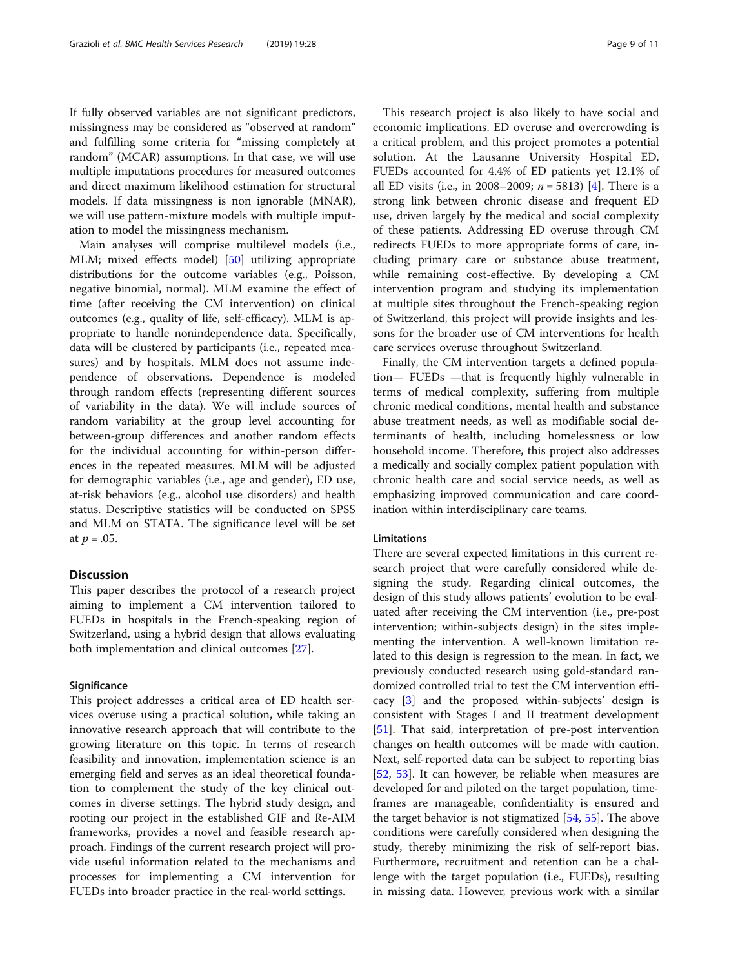If fully observed variables are not significant predictors, missingness may be considered as "observed at random" and fulfilling some criteria for "missing completely at random" (MCAR) assumptions. In that case, we will use multiple imputations procedures for measured outcomes and direct maximum likelihood estimation for structural models. If data missingness is non ignorable (MNAR), we will use pattern-mixture models with multiple imputation to model the missingness mechanism.

Main analyses will comprise multilevel models (i.e., MLM; mixed effects model) [[50\]](#page-10-0) utilizing appropriate distributions for the outcome variables (e.g., Poisson, negative binomial, normal). MLM examine the effect of time (after receiving the CM intervention) on clinical outcomes (e.g., quality of life, self-efficacy). MLM is appropriate to handle nonindependence data. Specifically, data will be clustered by participants (i.e., repeated measures) and by hospitals. MLM does not assume independence of observations. Dependence is modeled through random effects (representing different sources of variability in the data). We will include sources of random variability at the group level accounting for between-group differences and another random effects for the individual accounting for within-person differences in the repeated measures. MLM will be adjusted for demographic variables (i.e., age and gender), ED use, at-risk behaviors (e.g., alcohol use disorders) and health status. Descriptive statistics will be conducted on SPSS and MLM on STATA. The significance level will be set at  $p = .05$ .

# **Discussion**

This paper describes the protocol of a research project aiming to implement a CM intervention tailored to FUEDs in hospitals in the French-speaking region of Switzerland, using a hybrid design that allows evaluating both implementation and clinical outcomes [\[27](#page-10-0)].

#### **Significance**

This project addresses a critical area of ED health services overuse using a practical solution, while taking an innovative research approach that will contribute to the growing literature on this topic. In terms of research feasibility and innovation, implementation science is an emerging field and serves as an ideal theoretical foundation to complement the study of the key clinical outcomes in diverse settings. The hybrid study design, and rooting our project in the established GIF and Re-AIM frameworks, provides a novel and feasible research approach. Findings of the current research project will provide useful information related to the mechanisms and processes for implementing a CM intervention for FUEDs into broader practice in the real-world settings.

This research project is also likely to have social and economic implications. ED overuse and overcrowding is a critical problem, and this project promotes a potential solution. At the Lausanne University Hospital ED, FUEDs accounted for 4.4% of ED patients yet 12.1% of all ED visits (i.e., in 2008–2009;  $n = 5813$ ) [\[4](#page-9-0)]. There is a strong link between chronic disease and frequent ED use, driven largely by the medical and social complexity of these patients. Addressing ED overuse through CM redirects FUEDs to more appropriate forms of care, including primary care or substance abuse treatment, while remaining cost-effective. By developing a CM intervention program and studying its implementation at multiple sites throughout the French-speaking region of Switzerland, this project will provide insights and lessons for the broader use of CM interventions for health care services overuse throughout Switzerland.

Finally, the CM intervention targets a defined population— FUEDs —that is frequently highly vulnerable in terms of medical complexity, suffering from multiple chronic medical conditions, mental health and substance abuse treatment needs, as well as modifiable social determinants of health, including homelessness or low household income. Therefore, this project also addresses a medically and socially complex patient population with chronic health care and social service needs, as well as emphasizing improved communication and care coordination within interdisciplinary care teams.

#### **Limitations**

There are several expected limitations in this current research project that were carefully considered while designing the study. Regarding clinical outcomes, the design of this study allows patients' evolution to be evaluated after receiving the CM intervention (i.e., pre-post intervention; within-subjects design) in the sites implementing the intervention. A well-known limitation related to this design is regression to the mean. In fact, we previously conducted research using gold-standard randomized controlled trial to test the CM intervention efficacy [[3\]](#page-9-0) and the proposed within-subjects' design is consistent with Stages I and II treatment development [[51\]](#page-10-0). That said, interpretation of pre-post intervention changes on health outcomes will be made with caution. Next, self-reported data can be subject to reporting bias [[52,](#page-10-0) [53\]](#page-10-0). It can however, be reliable when measures are developed for and piloted on the target population, timeframes are manageable, confidentiality is ensured and the target behavior is not stigmatized [\[54,](#page-10-0) [55\]](#page-10-0). The above conditions were carefully considered when designing the study, thereby minimizing the risk of self-report bias. Furthermore, recruitment and retention can be a challenge with the target population (i.e., FUEDs), resulting in missing data. However, previous work with a similar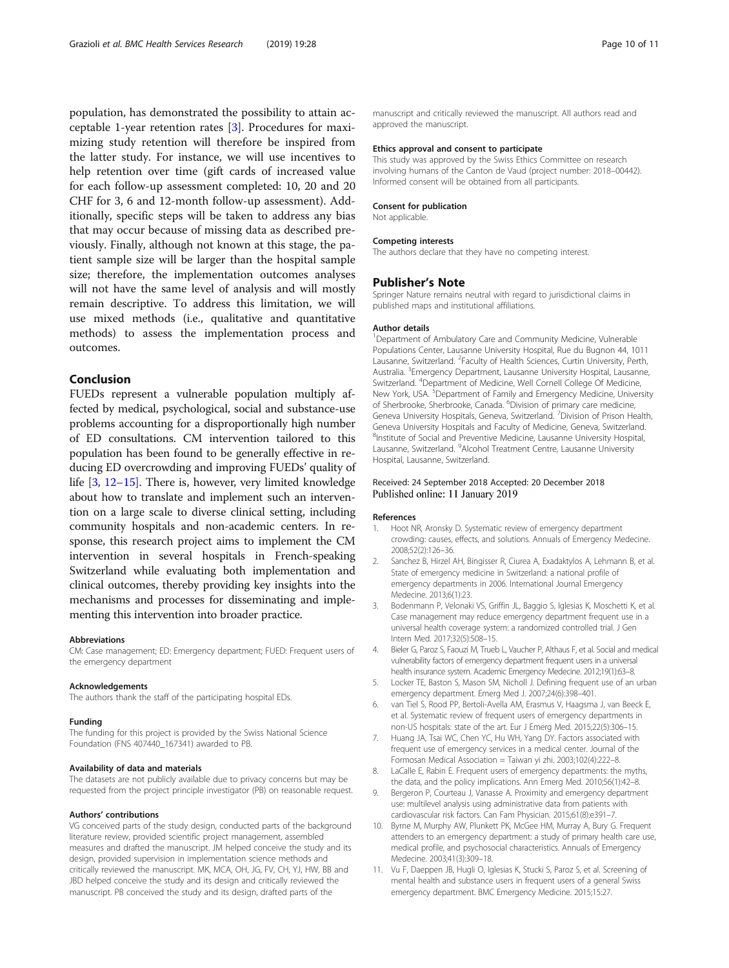<span id="page-9-0"></span>population, has demonstrated the possibility to attain acceptable 1-year retention rates [3]. Procedures for maximizing study retention will therefore be inspired from the latter study. For instance, we will use incentives to help retention over time (gift cards of increased value for each follow-up assessment completed: 10, 20 and 20 CHF for 3, 6 and 12-month follow-up assessment). Additionally, specific steps will be taken to address any bias that may occur because of missing data as described previously. Finally, although not known at this stage, the patient sample size will be larger than the hospital sample size; therefore, the implementation outcomes analyses will not have the same level of analysis and will mostly remain descriptive. To address this limitation, we will use mixed methods (i.e., qualitative and quantitative methods) to assess the implementation process and outcomes.

# Conclusion

FUEDs represent a vulnerable population multiply affected by medical, psychological, social and substance-use problems accounting for a disproportionally high number of ED consultations. CM intervention tailored to this population has been found to be generally effective in reducing ED overcrowding and improving FUEDs' quality of life [3, [12](#page-10-0)–[15](#page-10-0)]. There is, however, very limited knowledge about how to translate and implement such an intervention on a large scale to diverse clinical setting, including community hospitals and non-academic centers. In response, this research project aims to implement the CM intervention in several hospitals in French-speaking Switzerland while evaluating both implementation and clinical outcomes, thereby providing key insights into the mechanisms and processes for disseminating and implementing this intervention into broader practice.

#### Abbreviations

CM: Case management; ED: Emergency department; FUED: Frequent users of the emergency department

#### Acknowledgements

The authors thank the staff of the participating hospital EDs.

#### Funding

The funding for this project is provided by the Swiss National Science Foundation (FNS 407440\_167341) awarded to PB.

#### Availability of data and materials

The datasets are not publicly available due to privacy concerns but may be requested from the project principle investigator (PB) on reasonable request.

#### Authors' contributions

VG conceived parts of the study design, conducted parts of the background literature review, provided scientific project management, assembled measures and drafted the manuscript. JM helped conceive the study and its design, provided supervision in implementation science methods and critically reviewed the manuscript. MK, MCA, OH, JG, FV, CH, YJ, HW, BB and JBD helped conceive the study and its design and critically reviewed the manuscript. PB conceived the study and its design, drafted parts of the

manuscript and critically reviewed the manuscript. All authors read and approved the manuscript.

#### Ethics approval and consent to participate

This study was approved by the Swiss Ethics Committee on research involving humans of the Canton de Vaud (project number: 2018–00442). Informed consent will be obtained from all participants.

#### Consent for publication

Not applicable.

#### Competing interests

The authors declare that they have no competing interest.

#### Publisher's Note

Springer Nature remains neutral with regard to jurisdictional claims in published maps and institutional affiliations.

#### Author details

<sup>1</sup>Department of Ambulatory Care and Community Medicine, Vulnerable Populations Center, Lausanne University Hospital, Rue du Bugnon 44, 1011 Lausanne, Switzerland. <sup>2</sup> Faculty of Health Sciences, Curtin University, Perth, Australia. <sup>3</sup> Emergency Department, Lausanne University Hospital, Lausanne, Switzerland. <sup>4</sup> Department of Medicine, Well Cornell College Of Medicine, New York, USA. <sup>5</sup>Department of Family and Emergency Medicine, University of Sherbrooke, Sherbrooke, Canada. <sup>6</sup> Division of primary care medicine, Geneva University Hospitals, Geneva, Switzerland. <sup>7</sup> Division of Prison Health Geneva University Hospitals and Faculty of Medicine, Geneva, Switzerland. <sup>8</sup>Institute of Social and Preventive Medicine, Lausanne University Hospital Lausanne, Switzerland. <sup>9</sup> Alcohol Treatment Centre, Lausanne University Hospital, Lausanne, Switzerland.

#### Received: 24 September 2018 Accepted: 20 December 2018 Published online: 11 January 2019

#### References

- Hoot NR, Aronsky D. Systematic review of emergency department crowding: causes, effects, and solutions. Annuals of Emergency Medecine. 2008;52(2):126–36.
- Sanchez B, Hirzel AH, Bingisser R, Ciurea A, Exadaktylos A, Lehmann B, et al. State of emergency medicine in Switzerland: a national profile of emergency departments in 2006. International Journal Emergency Medecine. 2013;6(1):23.
- 3. Bodenmann P, Velonaki VS, Griffin JL, Baggio S, Iglesias K, Moschetti K, et al. Case management may reduce emergency department frequent use in a universal health coverage system: a randomized controlled trial. J Gen Intern Med. 2017;32(5):508–15.
- 4. Bieler G, Paroz S, Faouzi M, Trueb L, Vaucher P, Althaus F, et al. Social and medical vulnerability factors of emergency department frequent users in a universal health insurance system. Academic Emergency Medecine. 2012;19(1):63–8.
- 5. Locker TE, Baston S, Mason SM, Nicholl J. Defining frequent use of an urban emergency department. Emerg Med J. 2007;24(6):398–401.
- 6. van Tiel S, Rood PP, Bertoli-Avella AM, Erasmus V, Haagsma J, van Beeck E, et al. Systematic review of frequent users of emergency departments in non-US hospitals: state of the art. Eur J Emerg Med. 2015;22(5):306–15.
- 7. Huang JA, Tsai WC, Chen YC, Hu WH, Yang DY. Factors associated with frequent use of emergency services in a medical center. Journal of the Formosan Medical Association = Taiwan yi zhi. 2003;102(4):222–8.
- 8. LaCalle E, Rabin E. Frequent users of emergency departments: the myths, the data, and the policy implications. Ann Emerg Med. 2010;56(1):42–8.
- 9. Bergeron P, Courteau J, Vanasse A. Proximity and emergency department use: multilevel analysis using administrative data from patients with cardiovascular risk factors. Can Fam Physician. 2015;61(8):e391–7.
- 10. Byrne M, Murphy AW, Plunkett PK, McGee HM, Murray A, Bury G. Frequent attenders to an emergency department: a study of primary health care use, medical profile, and psychosocial characteristics. Annuals of Emergency Medecine. 2003;41(3):309–18.
- 11. Vu F, Daeppen JB, Hugli O, Iglesias K, Stucki S, Paroz S, et al. Screening of mental health and substance users in frequent users of a general Swiss emergency department. BMC Emergency Medicine. 2015;15:27.